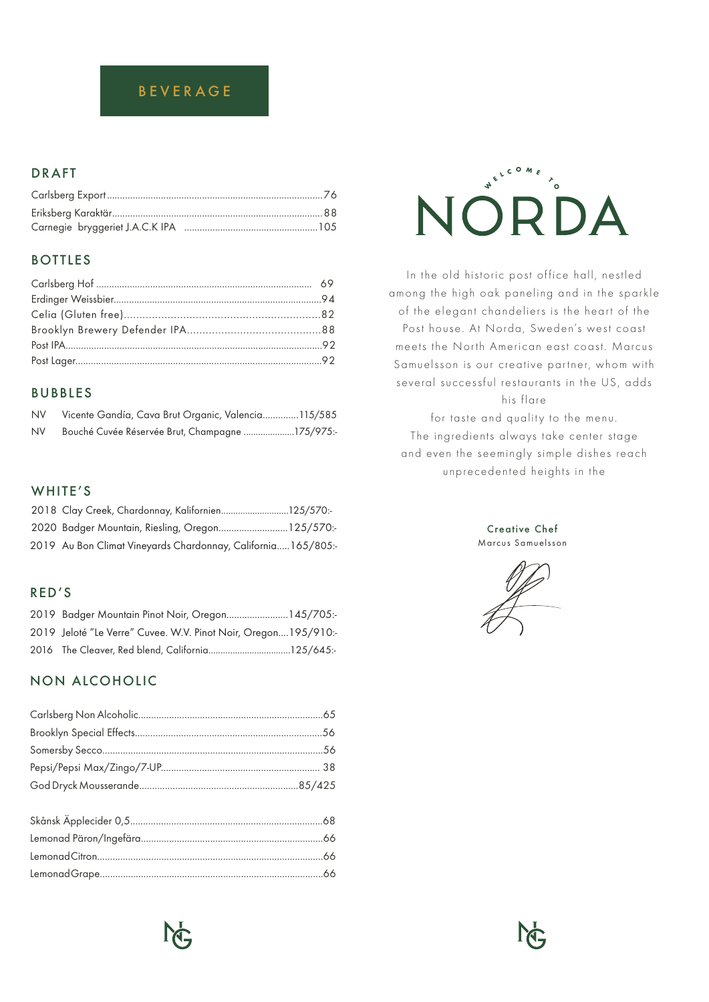# BEVERAGE

## **DRAFT**

## **BOTTLES**

## **BUBBLES**

| <b>NV</b> | Vicente Gandía, Cava Brut Organic, Valencia115/585 |
|-----------|----------------------------------------------------|
| NV.       | Bouché Cuvée Réservée Brut, Champagne 175/975:-    |

## WHITE'S

| 2018 Clay Creek, Chardonnay, Kalifornien125/570:-             |  |
|---------------------------------------------------------------|--|
| 2020 Badger Mountain, Riesling, Oregon125/570:-               |  |
| 2019 Au Bon Climat Vineyards Chardonnay, California 165/805:- |  |

## RED'S

| 2019 Badger Mountain Pinot Noir, Oregon 145/705:-              |  |
|----------------------------------------------------------------|--|
| 2019 Jeloté "Le Verre" Cuvee. W.V. Pinot Noir, Oregon195/910:- |  |
|                                                                |  |

## NON ALCOHOLIC



In the old historic post office hall, nestled among the high oak paneling and in the sparkle of the elegant chandeliers is the heart of the Post house. At Norda, Sweden's west coast meets the North American east coast. Marcus Samuelsson is our creative partner, whom with several successful restaurants in the US, adds

his flare

for taste and quality to the menu. The ingredients always take center stage and even the seemingly simple dishes reach unprecedented heights in the

> Creative Chef Marcus Samuelsson